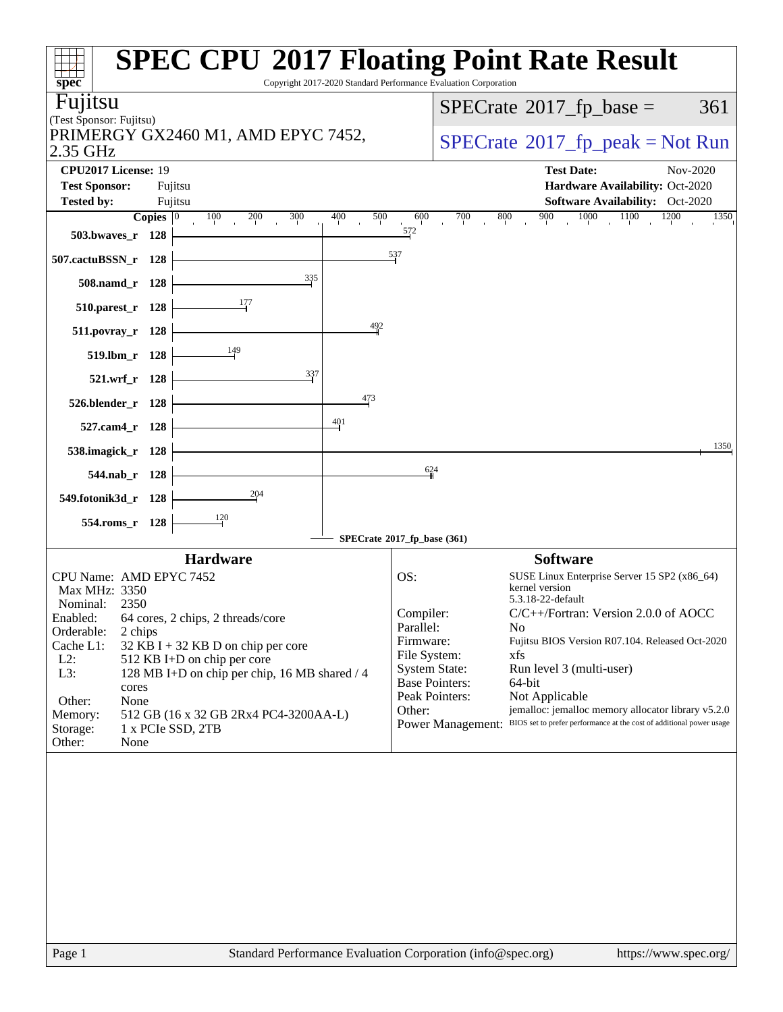| spec <sup>®</sup>                                                                             | <b>SPEC CPU®2017 Floating Point Rate Result</b><br>Copyright 2017-2020 Standard Performance Evaluation Corporation                                               |
|-----------------------------------------------------------------------------------------------|------------------------------------------------------------------------------------------------------------------------------------------------------------------|
| Fujitsu                                                                                       | $SPECTate$ <sup>®</sup> 2017_fp_base =<br>361                                                                                                                    |
| (Test Sponsor: Fujitsu)                                                                       |                                                                                                                                                                  |
| PRIMERGY GX2460 M1, AMD EPYC 7452,<br>2.35 GHz                                                | $SPECrate^{\circ}2017rfp peak = Not Run$                                                                                                                         |
| CPU2017 License: 19                                                                           | <b>Test Date:</b><br>Nov-2020                                                                                                                                    |
| <b>Test Sponsor:</b><br>Fujitsu                                                               | Hardware Availability: Oct-2020                                                                                                                                  |
| <b>Tested by:</b><br>Fujitsu                                                                  | Software Availability: Oct-2020                                                                                                                                  |
| Copies $ 0\rangle$<br>400<br>100<br>200<br>300<br>503.bwaves_r 128                            | 1000<br>1100<br>500<br>700<br>900<br>1200<br>600<br>800<br>1350<br>572                                                                                           |
| 507.cactuBSSN_r 128                                                                           | 537                                                                                                                                                              |
| 335<br>508.namd_r 128                                                                         |                                                                                                                                                                  |
| 177<br>510.parest_r 128                                                                       |                                                                                                                                                                  |
| 511.povray_r 128                                                                              | 492                                                                                                                                                              |
| 149<br>519.lbm_r 128                                                                          |                                                                                                                                                                  |
| $\frac{337}{5}$<br>521.wrf_r 128                                                              |                                                                                                                                                                  |
| 526.blender_r 128                                                                             | 473                                                                                                                                                              |
| $\frac{401}{4}$<br>527.cam4_r 128                                                             |                                                                                                                                                                  |
| 538.imagick_r 128                                                                             | 1350                                                                                                                                                             |
| 544.nab_r 128                                                                                 | 624                                                                                                                                                              |
| 204<br>549.fotonik3d_r 128                                                                    |                                                                                                                                                                  |
| 120<br>554.roms_r 128                                                                         |                                                                                                                                                                  |
|                                                                                               | SPECrate®2017_fp_base (361)                                                                                                                                      |
| <b>Hardware</b>                                                                               | <b>Software</b>                                                                                                                                                  |
| CPU Name: AMD EPYC 7452                                                                       | OS:<br>SUSE Linux Enterprise Server 15 SP2 (x86_64)                                                                                                              |
| Max MHz: 3350                                                                                 | kernel version<br>5.3.18-22-default                                                                                                                              |
| Nominal:<br>2350<br>Enabled:<br>64 cores, 2 chips, 2 threads/core                             | Compiler:<br>$C/C++/Fortran$ : Version 2.0.0 of AOCC                                                                                                             |
| Orderable:<br>2 chips                                                                         | Parallel:<br>N <sub>0</sub>                                                                                                                                      |
| Cache L1:<br>$32$ KB I + 32 KB D on chip per core                                             | Firmware:<br>Fujitsu BIOS Version R07.104. Released Oct-2020<br>File System:<br>xfs                                                                              |
| $L2$ :<br>512 KB I+D on chip per core<br>L3:<br>128 MB I+D on chip per chip, 16 MB shared / 4 | <b>System State:</b><br>Run level 3 (multi-user)                                                                                                                 |
| cores                                                                                         | <b>Base Pointers:</b><br>64-bit                                                                                                                                  |
| Other:<br>None                                                                                | Peak Pointers:<br>Not Applicable                                                                                                                                 |
| Memory:<br>512 GB (16 x 32 GB 2Rx4 PC4-3200AA-L)                                              | Other:<br>jemalloc: jemalloc memory allocator library v5.2.0<br>BIOS set to prefer performance at the cost of additional power usage<br><b>Power Management:</b> |
| Storage:<br>1 x PCIe SSD, 2TB<br>Other:<br>None                                               |                                                                                                                                                                  |
|                                                                                               |                                                                                                                                                                  |
| Page 1                                                                                        | Standard Performance Evaluation Corporation (info@spec.org)<br>https://www.spec.org/                                                                             |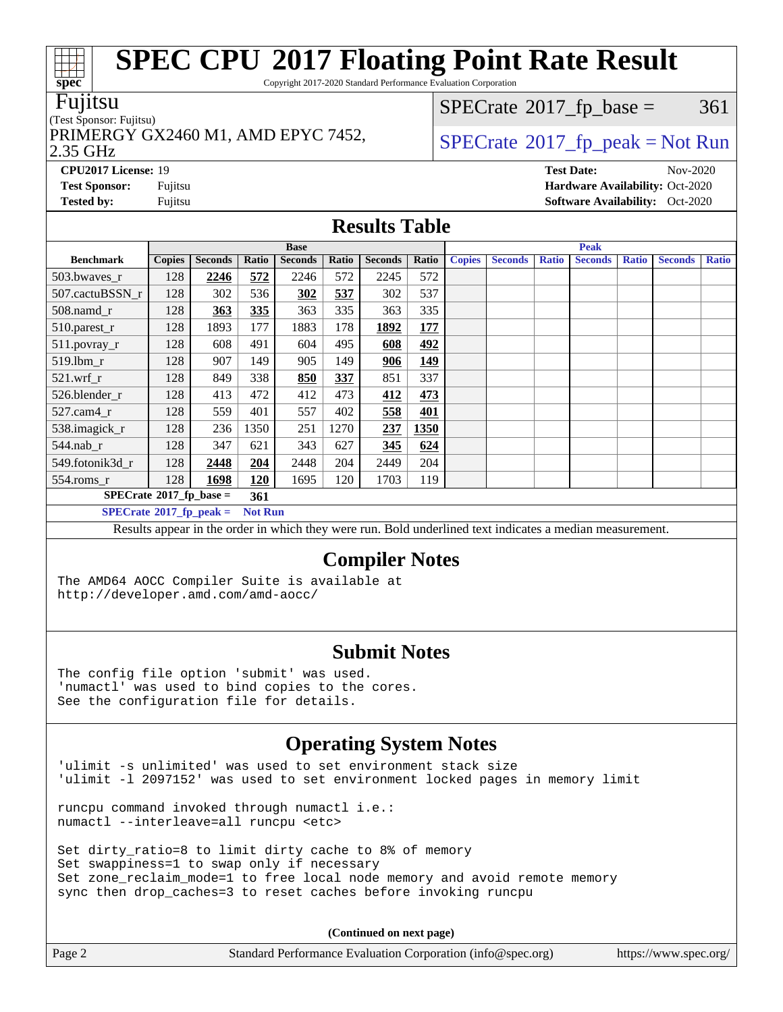Copyright 2017-2020 Standard Performance Evaluation Corporation

### Fujitsu

### (Test Sponsor: Fujitsu)

PRIMERGY GX2460 M1, AMD EPYC 7452,  $\vert$  [SPECrate](http://www.spec.org/auto/cpu2017/Docs/result-fields.html#SPECrate2017fppeak)®[2017\\_fp\\_peak = N](http://www.spec.org/auto/cpu2017/Docs/result-fields.html#SPECrate2017fppeak)ot Run

 $SPECTate$ <sup>®</sup>[2017\\_fp\\_base =](http://www.spec.org/auto/cpu2017/Docs/result-fields.html#SPECrate2017fpbase) 361

### 2.35 GHz

**[CPU2017 License:](http://www.spec.org/auto/cpu2017/Docs/result-fields.html#CPU2017License)** 19 **[Test Date:](http://www.spec.org/auto/cpu2017/Docs/result-fields.html#TestDate)** Nov-2020 **[Test Sponsor:](http://www.spec.org/auto/cpu2017/Docs/result-fields.html#TestSponsor)** Fujitsu **[Hardware Availability:](http://www.spec.org/auto/cpu2017/Docs/result-fields.html#HardwareAvailability)** Oct-2020

## **[Results Table](http://www.spec.org/auto/cpu2017/Docs/result-fields.html#ResultsTable)**

|                                  | <b>Base</b>   |                |                |                |       | <b>Peak</b>    |            |               |                |              |                |              |                |              |
|----------------------------------|---------------|----------------|----------------|----------------|-------|----------------|------------|---------------|----------------|--------------|----------------|--------------|----------------|--------------|
| <b>Benchmark</b>                 | <b>Copies</b> | <b>Seconds</b> | Ratio          | <b>Seconds</b> | Ratio | <b>Seconds</b> | Ratio      | <b>Copies</b> | <b>Seconds</b> | <b>Ratio</b> | <b>Seconds</b> | <b>Ratio</b> | <b>Seconds</b> | <b>Ratio</b> |
| 503.bwayes_r                     | 128           | 2246           | 572            | 2246           | 572   | 2245           | 572        |               |                |              |                |              |                |              |
| 507.cactuBSSN r                  | 128           | 302            | 536            | 302            | 537   | 302            | 537        |               |                |              |                |              |                |              |
| $508$ .namd $r$                  | 128           | 363            | 335            | 363            | 335   | 363            | 335        |               |                |              |                |              |                |              |
| 510.parest_r                     | 128           | 1893           | 177            | 1883           | 178   | 1892           | <u>177</u> |               |                |              |                |              |                |              |
| $511.$ povray_r                  | 128           | 608            | 491            | 604            | 495   | 608            | 492        |               |                |              |                |              |                |              |
| 519.1bm r                        | 128           | 907            | 149            | 905            | 149   | 906            | 149        |               |                |              |                |              |                |              |
| $521$ .wrf r                     | 128           | 849            | 338            | 850            | 337   | 851            | 337        |               |                |              |                |              |                |              |
| 526.blender r                    | 128           | 413            | 472            | 412            | 473   | 412            | 473        |               |                |              |                |              |                |              |
| $527.cam4_r$                     | 128           | 559            | 401            | 557            | 402   | 558            | 401        |               |                |              |                |              |                |              |
| 538.imagick_r                    | 128           | 236            | 1350           | 251            | 1270  | 237            | 1350       |               |                |              |                |              |                |              |
| $544$ .nab_r                     | 128           | 347            | 621            | 343            | 627   | 345            | 624        |               |                |              |                |              |                |              |
| 549.fotonik3d r                  | 128           | 2448           | 204            | 2448           | 204   | 2449           | 204        |               |                |              |                |              |                |              |
| 554.roms_r                       | 128           | 1698           | 120            | 1695           | 120   | 1703           | 119        |               |                |              |                |              |                |              |
| $SPECrate*2017_fp\_base =$       |               |                | 361            |                |       |                |            |               |                |              |                |              |                |              |
| $SPECrate^{\circ}2017$ fp peak = |               |                | <b>Not Run</b> |                |       |                |            |               |                |              |                |              |                |              |

Results appear in the [order in which they were run](http://www.spec.org/auto/cpu2017/Docs/result-fields.html#RunOrder). Bold underlined text [indicates a median measurement.](http://www.spec.org/auto/cpu2017/Docs/result-fields.html#Median)

### **[Compiler Notes](http://www.spec.org/auto/cpu2017/Docs/result-fields.html#CompilerNotes)**

The AMD64 AOCC Compiler Suite is available at <http://developer.amd.com/amd-aocc/>

### **[Submit Notes](http://www.spec.org/auto/cpu2017/Docs/result-fields.html#SubmitNotes)**

The config file option 'submit' was used. 'numactl' was used to bind copies to the cores. See the configuration file for details.

## **[Operating System Notes](http://www.spec.org/auto/cpu2017/Docs/result-fields.html#OperatingSystemNotes)**

'ulimit -s unlimited' was used to set environment stack size 'ulimit -l 2097152' was used to set environment locked pages in memory limit

runcpu command invoked through numactl i.e.: numactl --interleave=all runcpu <etc>

Set dirty\_ratio=8 to limit dirty cache to 8% of memory Set swappiness=1 to swap only if necessary Set zone\_reclaim\_mode=1 to free local node memory and avoid remote memory sync then drop\_caches=3 to reset caches before invoking runcpu

**(Continued on next page)**

| Standard Performance Evaluation Corporation (info@spec.org)<br>Page 2<br>https://www.spec.org/ |
|------------------------------------------------------------------------------------------------|
|------------------------------------------------------------------------------------------------|



**[Tested by:](http://www.spec.org/auto/cpu2017/Docs/result-fields.html#Testedby)** Fujitsu **Fugital Exception Contract Contract Contract Contract Contract Contract Contract Contract Contract Contract Contract Contract Contract Contract Contract Contract Contract Contract Contract Contract Co**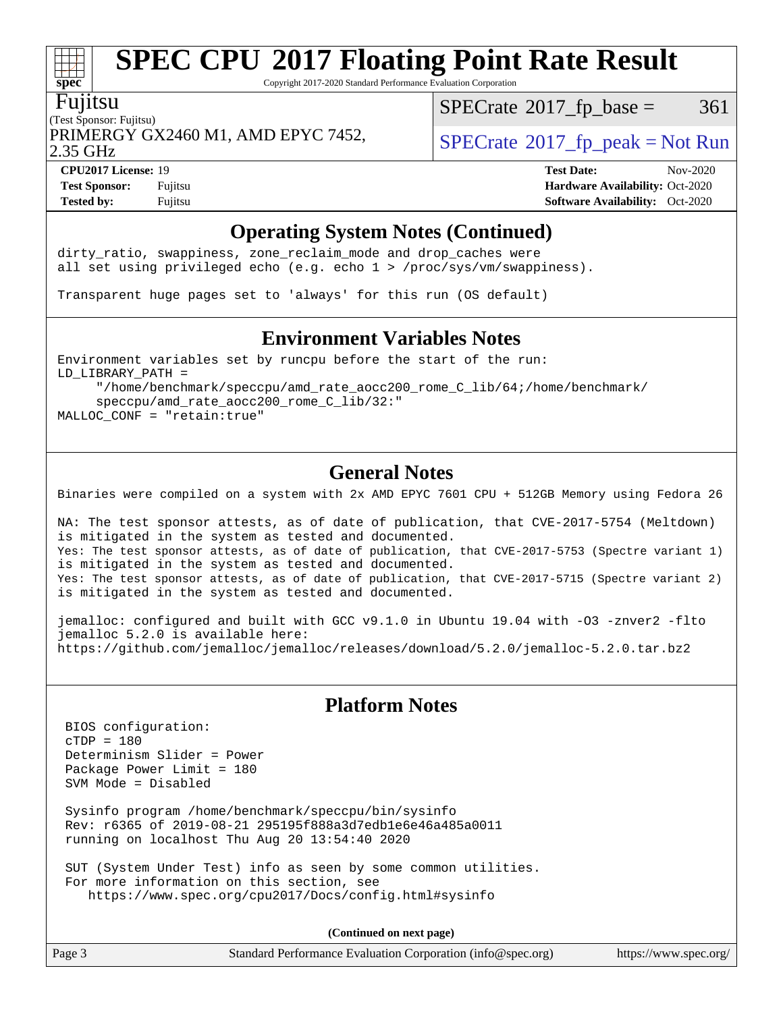Copyright 2017-2020 Standard Performance Evaluation Corporation

### Fujitsu

**[spec](http://www.spec.org/)**

(Test Sponsor: Fujitsu) PRIMERGY GX2460 M1, AMD EPYC 7452,  $\vert$  [SPECrate](http://www.spec.org/auto/cpu2017/Docs/result-fields.html#SPECrate2017fppeak) 2017 fp peak = Not Run

 $SPECTate@2017_fp\_base = 361$ 

2.35 GHz

**[CPU2017 License:](http://www.spec.org/auto/cpu2017/Docs/result-fields.html#CPU2017License)** 19 **[Test Date:](http://www.spec.org/auto/cpu2017/Docs/result-fields.html#TestDate)** Nov-2020

**[Test Sponsor:](http://www.spec.org/auto/cpu2017/Docs/result-fields.html#TestSponsor)** Fujitsu **[Hardware Availability:](http://www.spec.org/auto/cpu2017/Docs/result-fields.html#HardwareAvailability)** Oct-2020 **[Tested by:](http://www.spec.org/auto/cpu2017/Docs/result-fields.html#Testedby)** Fujitsu **[Software Availability:](http://www.spec.org/auto/cpu2017/Docs/result-fields.html#SoftwareAvailability)** Oct-2020

## **[Operating System Notes \(Continued\)](http://www.spec.org/auto/cpu2017/Docs/result-fields.html#OperatingSystemNotes)**

dirty\_ratio, swappiness, zone\_reclaim\_mode and drop caches were all set using privileged echo (e.g. echo 1 > /proc/sys/vm/swappiness).

Transparent huge pages set to 'always' for this run (OS default)

### **[Environment Variables Notes](http://www.spec.org/auto/cpu2017/Docs/result-fields.html#EnvironmentVariablesNotes)**

Environment variables set by runcpu before the start of the run: LD\_LIBRARY\_PATH = "/home/benchmark/speccpu/amd\_rate\_aocc200\_rome\_C\_lib/64;/home/benchmark/

 speccpu/amd\_rate\_aocc200\_rome\_C\_lib/32:" MALLOC\_CONF = "retain:true"

## **[General Notes](http://www.spec.org/auto/cpu2017/Docs/result-fields.html#GeneralNotes)**

Binaries were compiled on a system with 2x AMD EPYC 7601 CPU + 512GB Memory using Fedora 26

NA: The test sponsor attests, as of date of publication, that CVE-2017-5754 (Meltdown) is mitigated in the system as tested and documented. Yes: The test sponsor attests, as of date of publication, that CVE-2017-5753 (Spectre variant 1) is mitigated in the system as tested and documented. Yes: The test sponsor attests, as of date of publication, that CVE-2017-5715 (Spectre variant 2) is mitigated in the system as tested and documented.

jemalloc: configured and built with GCC v9.1.0 in Ubuntu 19.04 with -O3 -znver2 -flto jemalloc 5.2.0 is available here: <https://github.com/jemalloc/jemalloc/releases/download/5.2.0/jemalloc-5.2.0.tar.bz2>

## **[Platform Notes](http://www.spec.org/auto/cpu2017/Docs/result-fields.html#PlatformNotes)**

 BIOS configuration:  $CTDP = 180$  Determinism Slider = Power Package Power Limit = 180 SVM Mode = Disabled

 Sysinfo program /home/benchmark/speccpu/bin/sysinfo Rev: r6365 of 2019-08-21 295195f888a3d7edb1e6e46a485a0011 running on localhost Thu Aug 20 13:54:40 2020

 SUT (System Under Test) info as seen by some common utilities. For more information on this section, see <https://www.spec.org/cpu2017/Docs/config.html#sysinfo>

**(Continued on next page)**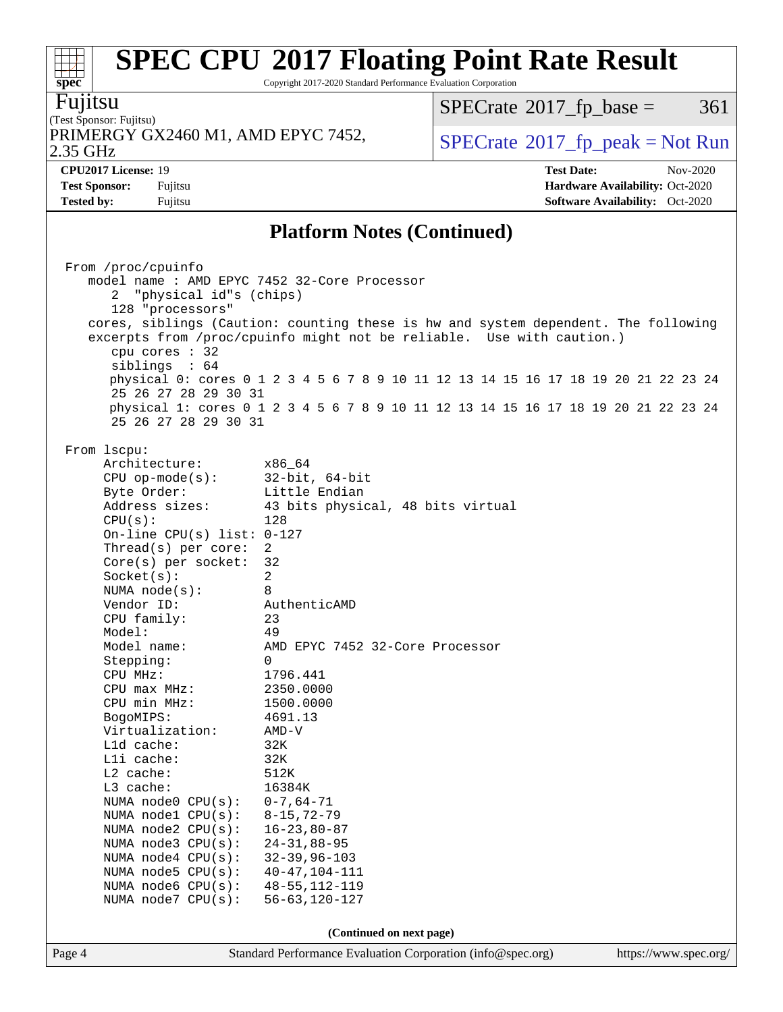Copyright 2017-2020 Standard Performance Evaluation Corporation

Fujitsu

**[spec](http://www.spec.org/)**

#### (Test Sponsor: Fujitsu) 2.35 GHz PRIMERGY GX2460 M1, AMD EPYC 7452,  $\vert$  [SPECrate](http://www.spec.org/auto/cpu2017/Docs/result-fields.html#SPECrate2017fppeak) [2017\\_fp\\_peak = N](http://www.spec.org/auto/cpu2017/Docs/result-fields.html#SPECrate2017fppeak)ot Run

 $SPECTate@2017_fp\_base = 361$ 

**[CPU2017 License:](http://www.spec.org/auto/cpu2017/Docs/result-fields.html#CPU2017License)** 19 **[Test Date:](http://www.spec.org/auto/cpu2017/Docs/result-fields.html#TestDate)** Nov-2020 **[Test Sponsor:](http://www.spec.org/auto/cpu2017/Docs/result-fields.html#TestSponsor)** Fujitsu **[Hardware Availability:](http://www.spec.org/auto/cpu2017/Docs/result-fields.html#HardwareAvailability)** Oct-2020 **[Tested by:](http://www.spec.org/auto/cpu2017/Docs/result-fields.html#Testedby)** Fujitsu **[Software Availability:](http://www.spec.org/auto/cpu2017/Docs/result-fields.html#SoftwareAvailability)** Oct-2020

## **[Platform Notes \(Continued\)](http://www.spec.org/auto/cpu2017/Docs/result-fields.html#PlatformNotes)**

|        | From /proc/cpuinfo                      |                                                                                    |                       |
|--------|-----------------------------------------|------------------------------------------------------------------------------------|-----------------------|
|        |                                         | model name : AMD EPYC 7452 32-Core Processor                                       |                       |
|        | "physical id"s (chips)<br>2             |                                                                                    |                       |
|        | 128 "processors"                        |                                                                                    |                       |
|        |                                         | cores, siblings (Caution: counting these is hw and system dependent. The following |                       |
|        |                                         | excerpts from /proc/cpuinfo might not be reliable. Use with caution.)              |                       |
|        | cpu cores : 32                          |                                                                                    |                       |
|        | siblings : 64                           |                                                                                    |                       |
|        |                                         | physical 0: cores 0 1 2 3 4 5 6 7 8 9 10 11 12 13 14 15 16 17 18 19 20 21 22 23 24 |                       |
|        | 25 26 27 28 29 30 31                    |                                                                                    |                       |
|        |                                         | physical 1: cores 0 1 2 3 4 5 6 7 8 9 10 11 12 13 14 15 16 17 18 19 20 21 22 23 24 |                       |
|        | 25 26 27 28 29 30 31                    |                                                                                    |                       |
|        |                                         |                                                                                    |                       |
|        | From lscpu:                             |                                                                                    |                       |
|        | Architecture:                           | x86_64                                                                             |                       |
|        | CPU op-mode(s): $32-bit, 64-bit$        |                                                                                    |                       |
|        |                                         | Little Endian                                                                      |                       |
|        | Byte Order:<br>Address sizes:           |                                                                                    |                       |
|        |                                         | 43 bits physical, 48 bits virtual                                                  |                       |
|        | CPU(s):<br>On-line CPU(s) list: $0-127$ | 128                                                                                |                       |
|        |                                         |                                                                                    |                       |
|        | Thread(s) per core:                     | $\overline{2}$<br>32                                                               |                       |
|        | $Core(s)$ per socket:                   |                                                                                    |                       |
|        | Socket(s):                              | $\overline{2}$                                                                     |                       |
|        | NUMA $node(s):$                         | 8                                                                                  |                       |
|        | Vendor ID:                              | AuthenticAMD                                                                       |                       |
|        | CPU family:                             | 23                                                                                 |                       |
|        | Model:                                  | 49                                                                                 |                       |
|        | Model name:                             | AMD EPYC 7452 32-Core Processor                                                    |                       |
|        | Stepping:                               | $\Omega$                                                                           |                       |
|        | CPU MHz:                                | 1796.441                                                                           |                       |
|        | $CPU$ max $MHz$ :                       | 2350.0000                                                                          |                       |
|        | CPU min MHz:                            | 1500.0000                                                                          |                       |
|        | BogoMIPS:                               | 4691.13                                                                            |                       |
|        | Virtualization:                         | AMD-V                                                                              |                       |
|        | L1d cache:                              | 32K                                                                                |                       |
|        | Lli cache:                              | 32K                                                                                |                       |
|        | $L2$ cache:                             | 512K                                                                               |                       |
|        | L3 cache:                               | 16384K                                                                             |                       |
|        | NUMA node0 $CPU(s): 0-7, 64-71$         |                                                                                    |                       |
|        | NUMA $node1$ $CPU(s):$                  | $8 - 15, 72 - 79$                                                                  |                       |
|        | NUMA node2 CPU(s): 16-23,80-87          |                                                                                    |                       |
|        | NUMA $node3$ $CPU(s):$                  | $24 - 31, 88 - 95$                                                                 |                       |
|        | NUMA node4 CPU(s):                      | $32 - 39, 96 - 103$                                                                |                       |
|        | NUMA $node5$ $CPU(s):$                  | $40 - 47, 104 - 111$                                                               |                       |
|        | NUMA node6 CPU(s):                      | $48 - 55, 112 - 119$                                                               |                       |
|        | NUMA node7 CPU(s):                      | $56 - 63, 120 - 127$                                                               |                       |
|        |                                         |                                                                                    |                       |
|        |                                         | (Continued on next page)                                                           |                       |
| Page 4 |                                         | Standard Performance Evaluation Corporation (info@spec.org)                        | https://www.spec.org/ |
|        |                                         |                                                                                    |                       |
|        |                                         |                                                                                    |                       |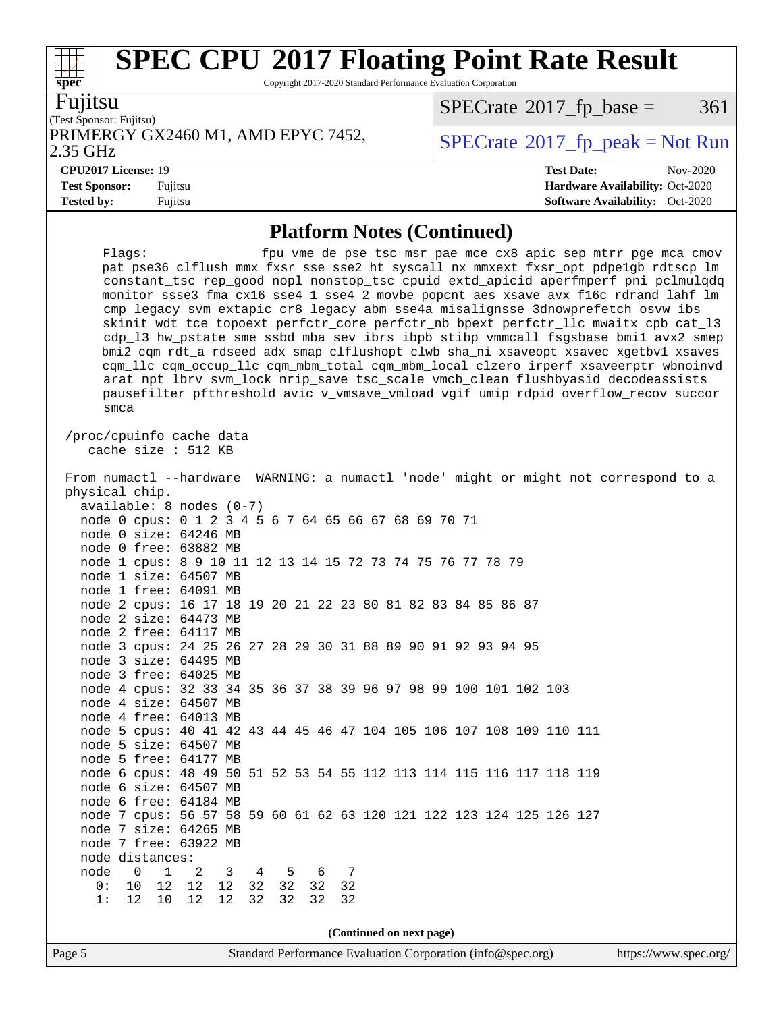Copyright 2017-2020 Standard Performance Evaluation Corporation

Fujitsu

**[spec](http://www.spec.org/)**

(Test Sponsor: Fujitsu) PRIMERGY GX2460 M1, AMD EPYC 7452,  $\vert$  [SPECrate](http://www.spec.org/auto/cpu2017/Docs/result-fields.html#SPECrate2017fppeak)®[2017\\_fp\\_peak = N](http://www.spec.org/auto/cpu2017/Docs/result-fields.html#SPECrate2017fppeak)ot Run

 $SPECTate$ <sup>®</sup>[2017\\_fp\\_base =](http://www.spec.org/auto/cpu2017/Docs/result-fields.html#SPECrate2017fpbase) 361

2.35 GHz

**[CPU2017 License:](http://www.spec.org/auto/cpu2017/Docs/result-fields.html#CPU2017License)** 19 **[Test Date:](http://www.spec.org/auto/cpu2017/Docs/result-fields.html#TestDate)** Nov-2020

**[Test Sponsor:](http://www.spec.org/auto/cpu2017/Docs/result-fields.html#TestSponsor)** Fujitsu **[Hardware Availability:](http://www.spec.org/auto/cpu2017/Docs/result-fields.html#HardwareAvailability)** Oct-2020 **[Tested by:](http://www.spec.org/auto/cpu2017/Docs/result-fields.html#Testedby)** Fujitsu **[Software Availability:](http://www.spec.org/auto/cpu2017/Docs/result-fields.html#SoftwareAvailability)** Oct-2020

**[Platform Notes \(Continued\)](http://www.spec.org/auto/cpu2017/Docs/result-fields.html#PlatformNotes)**

Flags: fpu vme de pse tsc msr pae mce cx8 apic sep mtrr pge mca cmov pat pse36 clflush mmx fxsr sse sse2 ht syscall nx mmxext fxsr\_opt pdpe1gb rdtscp lm constant\_tsc rep\_good nopl nonstop\_tsc cpuid extd\_apicid aperfmperf pni pclmulqdq monitor ssse3 fma cx16 sse4\_1 sse4\_2 movbe popcnt aes xsave avx f16c rdrand lahf\_lm cmp\_legacy svm extapic cr8\_legacy abm sse4a misalignsse 3dnowprefetch osvw ibs skinit wdt tce topoext perfctr\_core perfctr\_nb bpext perfctr\_llc mwaitx cpb cat\_l3 cdp\_l3 hw\_pstate sme ssbd mba sev ibrs ibpb stibp vmmcall fsgsbase bmi1 avx2 smep bmi2 cqm rdt\_a rdseed adx smap clflushopt clwb sha\_ni xsaveopt xsavec xgetbv1 xsaves cqm\_llc cqm\_occup\_llc cqm\_mbm\_total cqm\_mbm\_local clzero irperf xsaveerptr wbnoinvd arat npt lbrv svm\_lock nrip\_save tsc\_scale vmcb\_clean flushbyasid decodeassists pausefilter pfthreshold avic v\_vmsave\_vmload vgif umip rdpid overflow\_recov succor smca /proc/cpuinfo cache data cache size : 512 KB From numactl --hardware WARNING: a numactl 'node' might or might not correspond to a physical chip. available: 8 nodes (0-7) node 0 cpus: 0 1 2 3 4 5 6 7 64 65 66 67 68 69 70 71 node 0 size: 64246 MB node 0 free: 63882 MB node 1 cpus: 8 9 10 11 12 13 14 15 72 73 74 75 76 77 78 79 node 1 size: 64507 MB node 1 free: 64091 MB node 2 cpus: 16 17 18 19 20 21 22 23 80 81 82 83 84 85 86 87 node 2 size: 64473 MB node 2 free: 64117 MB node 3 cpus: 24 25 26 27 28 29 30 31 88 89 90 91 92 93 94 95 node 3 size: 64495 MB node 3 free: 64025 MB node 4 cpus: 32 33 34 35 36 37 38 39 96 97 98 99 100 101 102 103 node 4 size: 64507 MB node 4 free: 64013 MB node 5 cpus: 40 41 42 43 44 45 46 47 104 105 106 107 108 109 110 111 node 5 size: 64507 MB node 5 free: 64177 MB node 6 cpus: 48 49 50 51 52 53 54 55 112 113 114 115 116 117 118 119 node 6 size: 64507 MB node 6 free: 64184 MB node 7 cpus: 56 57 58 59 60 61 62 63 120 121 122 123 124 125 126 127 node 7 size: 64265 MB node 7 free: 63922 MB node distances: node 0 1 2 3 4 5 6 7 0: 10 12 12 12 32 32 32 32 1: 12 10 12 12 32 32 32 32 **(Continued on next page)**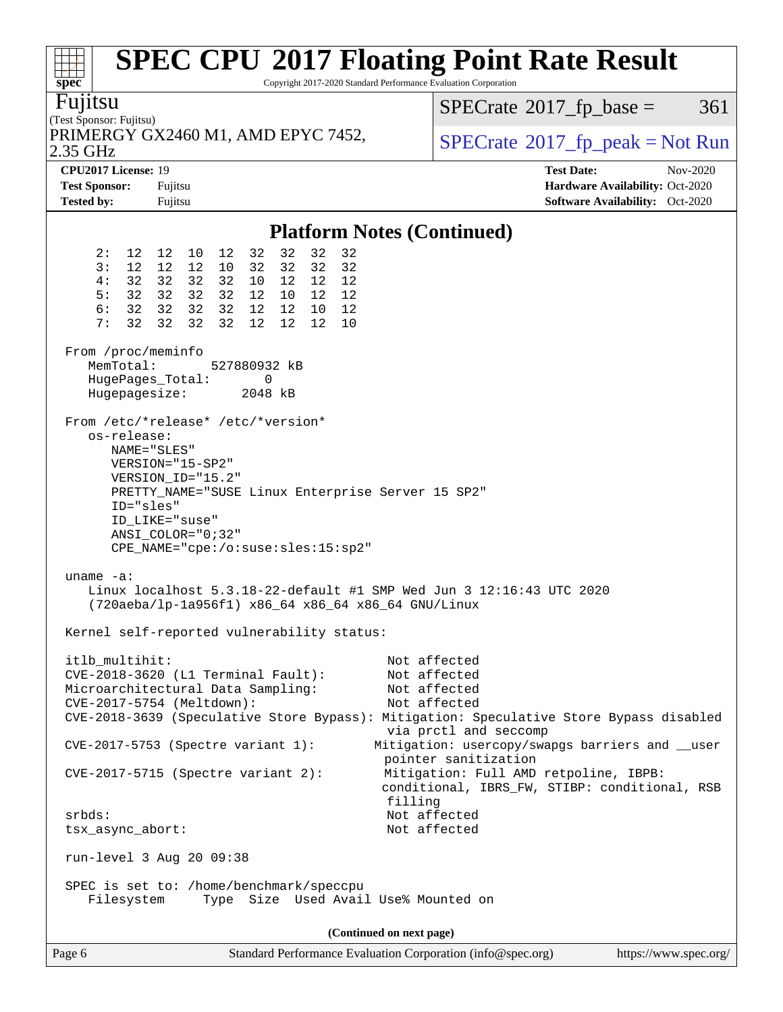| <b>SPEC CPU®2017 Floating Point Rate Result</b><br>Copyright 2017-2020 Standard Performance Evaluation Corporation<br>spec <sup>®</sup>                                                                                                                                                                                                                                                                                                                                                                                                                                                    |                                                                                                                  |  |  |  |
|--------------------------------------------------------------------------------------------------------------------------------------------------------------------------------------------------------------------------------------------------------------------------------------------------------------------------------------------------------------------------------------------------------------------------------------------------------------------------------------------------------------------------------------------------------------------------------------------|------------------------------------------------------------------------------------------------------------------|--|--|--|
| Fujitsu<br>(Test Sponsor: Fujitsu)                                                                                                                                                                                                                                                                                                                                                                                                                                                                                                                                                         | $SPECTate$ <sup>®</sup> 2017_fp_base =<br>361                                                                    |  |  |  |
| PRIMERGY GX2460 M1, AMD EPYC 7452,<br>2.35 GHz                                                                                                                                                                                                                                                                                                                                                                                                                                                                                                                                             | $SPECrate^{\circ}2017$ [p_peak = Not Run                                                                         |  |  |  |
| CPU2017 License: 19<br><b>Test Sponsor:</b><br>Fujitsu<br><b>Tested by:</b><br>Fujitsu                                                                                                                                                                                                                                                                                                                                                                                                                                                                                                     | <b>Test Date:</b><br>Nov-2020<br>Hardware Availability: Oct-2020<br><b>Software Availability:</b> Oct-2020       |  |  |  |
| <b>Platform Notes (Continued)</b>                                                                                                                                                                                                                                                                                                                                                                                                                                                                                                                                                          |                                                                                                                  |  |  |  |
| 32<br>32<br>32<br>2:<br>12 12 10 12<br>32<br>32<br>3:<br>12<br>32<br>32<br>12<br>12<br>10<br>32<br>32<br>32<br>32<br>32<br>12<br>12<br>12<br>4 :<br>10<br>32<br>32 32 32<br>5:<br>12 10 12<br>12<br>6:<br>32<br>32<br>32 32<br>12 12 10<br>12<br>32<br>32<br>32<br>32<br>12<br>7:<br>12<br>12<br>10<br>From /proc/meminfo<br>MemTotal:<br>527880932 kB<br>HugePages_Total:<br>0<br>Hugepagesize:<br>2048 kB<br>From /etc/*release* /etc/*version*<br>os-release:<br>NAME="SLES"<br>VERSION="15-SP2"<br>VERSION_ID="15.2"<br>PRETTY_NAME="SUSE Linux Enterprise Server 15 SP2"<br>ID="sles" |                                                                                                                  |  |  |  |
| ID LIKE="suse"<br>$ANSI\_COLOR = "0:32"$<br>CPE_NAME="cpe:/o:suse:sles:15:sp2"<br>uname $-a$ :<br>Linux localhost $5.3.18 - 22$ -default #1 SMP Wed Jun 3 12:16:43 UTC 2020<br>(720aeba/lp-1a956f1) x86_64 x86_64 x86_64 GNU/Linux                                                                                                                                                                                                                                                                                                                                                         |                                                                                                                  |  |  |  |
| Kernel self-reported vulnerability status:                                                                                                                                                                                                                                                                                                                                                                                                                                                                                                                                                 |                                                                                                                  |  |  |  |
| itlb_multihit:<br>CVE-2018-3620 (L1 Terminal Fault):<br>Microarchitectural Data Sampling:<br>CVE-2017-5754 (Meltdown):<br>CVE-2018-3639 (Speculative Store Bypass): Mitigation: Speculative Store Bypass disabled                                                                                                                                                                                                                                                                                                                                                                          | Not affected<br>Not affected<br>Not affected<br>Not affected<br>via prctl and seccomp                            |  |  |  |
| CVE-2017-5753 (Spectre variant 1):<br>$CVE-2017-5715$ (Spectre variant 2):                                                                                                                                                                                                                                                                                                                                                                                                                                                                                                                 | Mitigation: usercopy/swapgs barriers and __user<br>pointer sanitization<br>Mitigation: Full AMD retpoline, IBPB: |  |  |  |
| conditional, IBRS_FW, STIBP: conditional, RSB<br>filling<br>Not affected<br>$srbds$ :<br>Not affected<br>tsx_async_abort:                                                                                                                                                                                                                                                                                                                                                                                                                                                                  |                                                                                                                  |  |  |  |
| run-level 3 Aug 20 09:38<br>SPEC is set to: /home/benchmark/speccpu<br>Type Size Used Avail Use% Mounted on<br>Filesystem                                                                                                                                                                                                                                                                                                                                                                                                                                                                  |                                                                                                                  |  |  |  |
| (Continued on next page)                                                                                                                                                                                                                                                                                                                                                                                                                                                                                                                                                                   |                                                                                                                  |  |  |  |
| Page 6<br>Standard Performance Evaluation Corporation (info@spec.org)                                                                                                                                                                                                                                                                                                                                                                                                                                                                                                                      | https://www.spec.org/                                                                                            |  |  |  |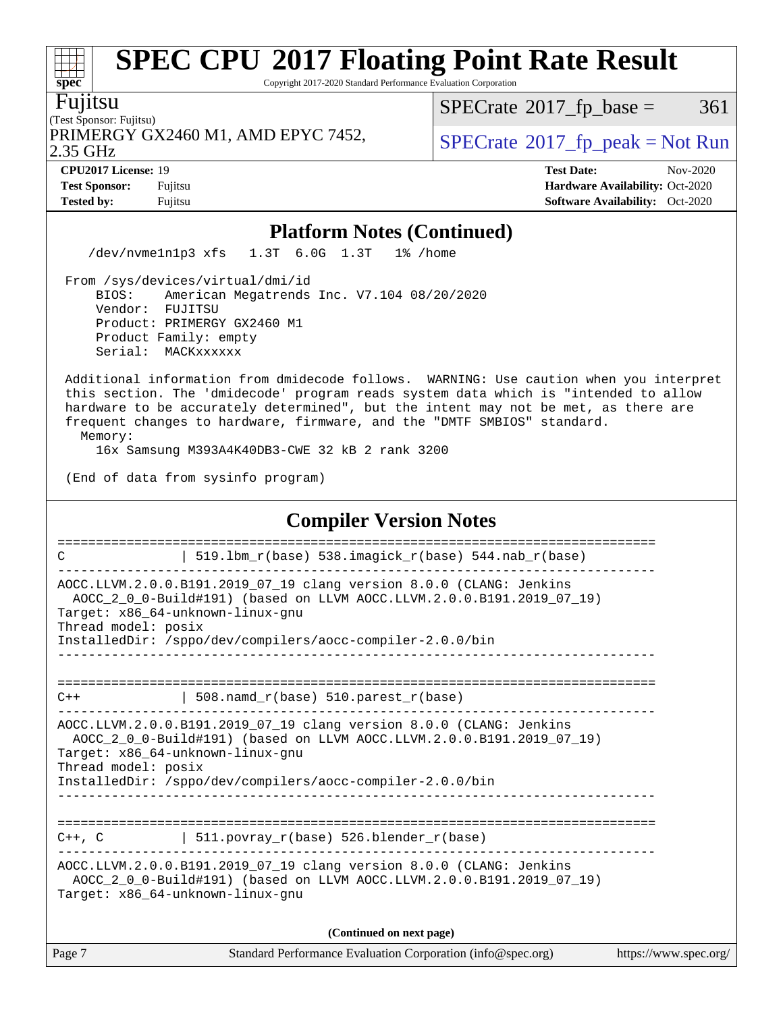Copyright 2017-2020 Standard Performance Evaluation Corporation

Fujitsu

**[spec](http://www.spec.org/)**

#### (Test Sponsor: Fujitsu) 2.35 GHz PRIMERGY GX2460 M1, AMD EPYC 7452,  $\vert$  [SPECrate](http://www.spec.org/auto/cpu2017/Docs/result-fields.html#SPECrate2017fppeak) 2017 fp peak = Not Run

 $SPECTate$ <sup>®</sup>[2017\\_fp\\_base =](http://www.spec.org/auto/cpu2017/Docs/result-fields.html#SPECrate2017fpbase) 361

**[Tested by:](http://www.spec.org/auto/cpu2017/Docs/result-fields.html#Testedby)** Fujitsu **Fugital Exception Contract Contract Contract Contract Contract Contract Contract Contract Contract Contract Contract Contract Contract Contract Contract Contract Contract Contract Contract Contract Co** 

**[CPU2017 License:](http://www.spec.org/auto/cpu2017/Docs/result-fields.html#CPU2017License)** 19 **[Test Date:](http://www.spec.org/auto/cpu2017/Docs/result-fields.html#TestDate)** Nov-2020 **[Test Sponsor:](http://www.spec.org/auto/cpu2017/Docs/result-fields.html#TestSponsor)** Fujitsu **[Hardware Availability:](http://www.spec.org/auto/cpu2017/Docs/result-fields.html#HardwareAvailability)** Oct-2020

### **[Platform Notes \(Continued\)](http://www.spec.org/auto/cpu2017/Docs/result-fields.html#PlatformNotes)**

/dev/nvme1n1p3 xfs 1.3T 6.0G 1.3T 1% /home

 From /sys/devices/virtual/dmi/id BIOS: American Megatrends Inc. V7.104 08/20/2020 Vendor: FUJITSU Product: PRIMERGY GX2460 M1 Product Family: empty Serial: MACKxxxxxx

 Additional information from dmidecode follows. WARNING: Use caution when you interpret this section. The 'dmidecode' program reads system data which is "intended to allow hardware to be accurately determined", but the intent may not be met, as there are frequent changes to hardware, firmware, and the "DMTF SMBIOS" standard.

Memory:

16x Samsung M393A4K40DB3-CWE 32 kB 2 rank 3200

(End of data from sysinfo program)

### **[Compiler Version Notes](http://www.spec.org/auto/cpu2017/Docs/result-fields.html#CompilerVersionNotes)** ============================================================================== C  $| 519.1bm_r(base) 538.imagick_r(base) 544.nab_r(base)$ ------------------------------------------------------------------------------ AOCC.LLVM.2.0.0.B191.2019\_07\_19 clang version 8.0.0 (CLANG: Jenkins AOCC\_2\_0\_0-Build#191) (based on LLVM AOCC.LLVM.2.0.0.B191.2019\_07\_19) Target: x86\_64-unknown-linux-gnu Thread model: posix InstalledDir: /sppo/dev/compilers/aocc-compiler-2.0.0/bin ------------------------------------------------------------------------------ ==============================================================================  $C++$  | 508.namd\_r(base) 510.parest\_r(base) ------------------------------------------------------------------------------ AOCC.LLVM.2.0.0.B191.2019\_07\_19 clang version 8.0.0 (CLANG: Jenkins AOCC\_2\_0\_0-Build#191) (based on LLVM AOCC.LLVM.2.0.0.B191.2019\_07\_19) Target: x86\_64-unknown-linux-gnu Thread model: posix InstalledDir: /sppo/dev/compilers/aocc-compiler-2.0.0/bin ------------------------------------------------------------------------------ ==============================================================================  $C++$ ,  $C$  | 511.povray\_r(base) 526.blender\_r(base) ------------------------------------------------------------------------------ AOCC.LLVM.2.0.0.B191.2019\_07\_19 clang version 8.0.0 (CLANG: Jenkins AOCC\_2\_0\_0-Build#191) (based on LLVM AOCC.LLVM.2.0.0.B191.2019\_07\_19) Target: x86\_64-unknown-linux-gnu **(Continued on next page)**

| Page 7 | Standard Performance Evaluation Corporation (info@spec.org) | https://www.spec.org/ |
|--------|-------------------------------------------------------------|-----------------------|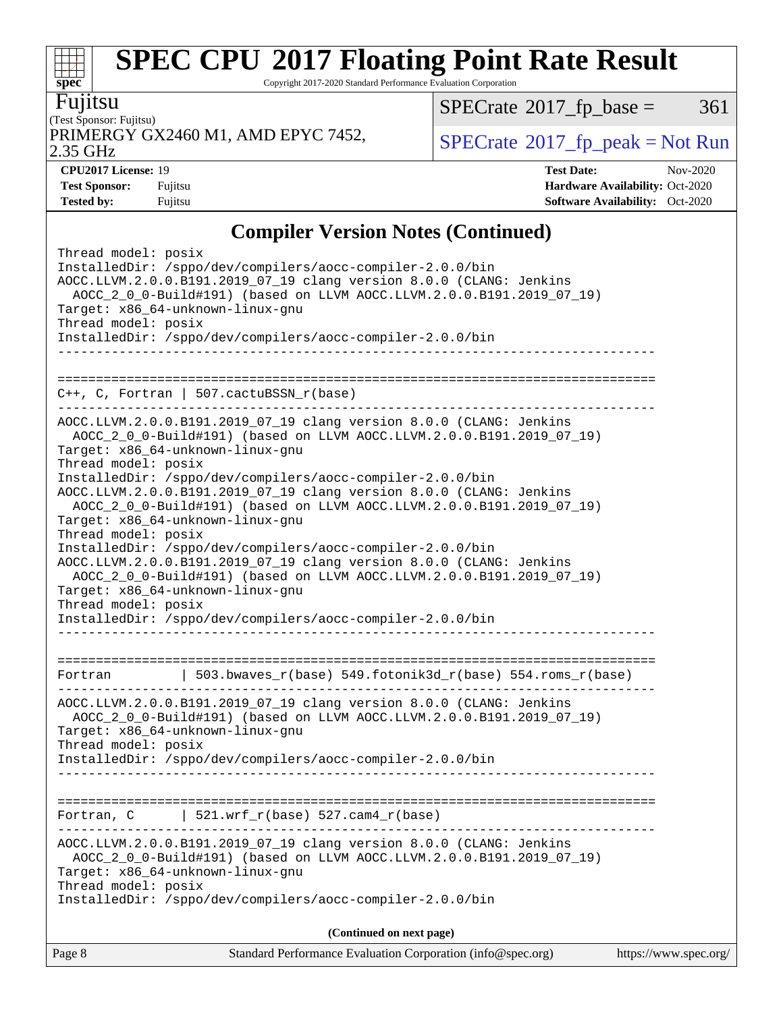Copyright 2017-2020 Standard Performance Evaluation Corporation

Fujitsu

(Test Sponsor: Fujitsu) 2.35 GHz PRIMERGY GX2460 M1, AMD EPYC 7452,  $\vert$  [SPECrate](http://www.spec.org/auto/cpu2017/Docs/result-fields.html#SPECrate2017fppeak)®[2017\\_fp\\_peak = N](http://www.spec.org/auto/cpu2017/Docs/result-fields.html#SPECrate2017fppeak)ot Run

 $SPECTate@2017_fp\_base = 361$ 

**[spec](http://www.spec.org/)**

 $+\!\!+\!\!$ 

**[Tested by:](http://www.spec.org/auto/cpu2017/Docs/result-fields.html#Testedby)** Fujitsu **[Software Availability:](http://www.spec.org/auto/cpu2017/Docs/result-fields.html#SoftwareAvailability)** Oct-2020

**[CPU2017 License:](http://www.spec.org/auto/cpu2017/Docs/result-fields.html#CPU2017License)** 19 **[Test Date:](http://www.spec.org/auto/cpu2017/Docs/result-fields.html#TestDate)** Nov-2020 **[Test Sponsor:](http://www.spec.org/auto/cpu2017/Docs/result-fields.html#TestSponsor)** Fujitsu **[Hardware Availability:](http://www.spec.org/auto/cpu2017/Docs/result-fields.html#HardwareAvailability)** Oct-2020

## **[Compiler Version Notes \(Continued\)](http://www.spec.org/auto/cpu2017/Docs/result-fields.html#CompilerVersionNotes)**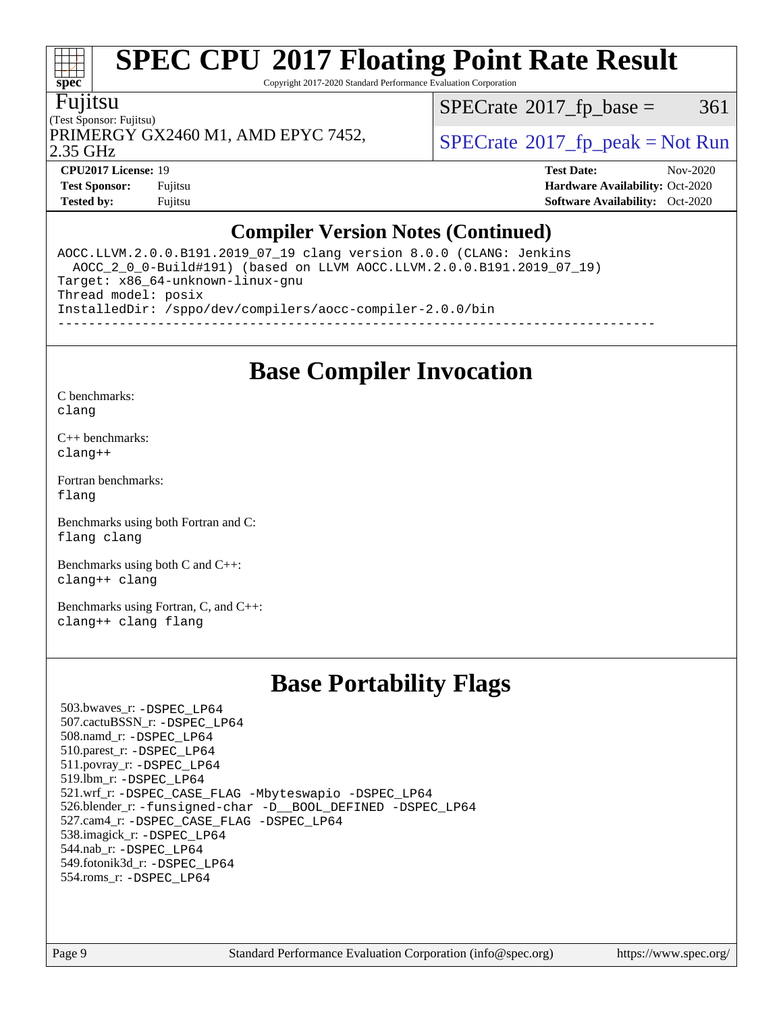Copyright 2017-2020 Standard Performance Evaluation Corporation

### Fujitsu

**[spec](http://www.spec.org/)**

(Test Sponsor: Fujitsu) 2.35 GHz PRIMERGY GX2460 M1, AMD EPYC 7452,  $\vert$ [SPECrate](http://www.spec.org/auto/cpu2017/Docs/result-fields.html#SPECrate2017fppeak)®[2017\\_fp\\_peak = N](http://www.spec.org/auto/cpu2017/Docs/result-fields.html#SPECrate2017fppeak)ot Run

 $SPECTate@2017_fp\_base = 361$ 

**[CPU2017 License:](http://www.spec.org/auto/cpu2017/Docs/result-fields.html#CPU2017License)** 19 **[Test Date:](http://www.spec.org/auto/cpu2017/Docs/result-fields.html#TestDate)** Nov-2020

**[Test Sponsor:](http://www.spec.org/auto/cpu2017/Docs/result-fields.html#TestSponsor)** Fujitsu **[Hardware Availability:](http://www.spec.org/auto/cpu2017/Docs/result-fields.html#HardwareAvailability)** Oct-2020 **[Tested by:](http://www.spec.org/auto/cpu2017/Docs/result-fields.html#Testedby)** Fujitsu **[Software Availability:](http://www.spec.org/auto/cpu2017/Docs/result-fields.html#SoftwareAvailability)** Oct-2020

## **[Compiler Version Notes \(Continued\)](http://www.spec.org/auto/cpu2017/Docs/result-fields.html#CompilerVersionNotes)**

AOCC.LLVM.2.0.0.B191.2019\_07\_19 clang version 8.0.0 (CLANG: Jenkins AOCC\_2\_0\_0-Build#191) (based on LLVM AOCC.LLVM.2.0.0.B191.2019\_07\_19) Target: x86\_64-unknown-linux-gnu Thread model: posix InstalledDir: /sppo/dev/compilers/aocc-compiler-2.0.0/bin ------------------------------------------------------------------------------

**[Base Compiler Invocation](http://www.spec.org/auto/cpu2017/Docs/result-fields.html#BaseCompilerInvocation)**

[C benchmarks](http://www.spec.org/auto/cpu2017/Docs/result-fields.html#Cbenchmarks): [clang](http://www.spec.org/cpu2017/results/res2020q4/cpu2017-20201124-24498.flags.html#user_CCbase_clang-c)

[C++ benchmarks:](http://www.spec.org/auto/cpu2017/Docs/result-fields.html#CXXbenchmarks) [clang++](http://www.spec.org/cpu2017/results/res2020q4/cpu2017-20201124-24498.flags.html#user_CXXbase_clang-cpp)

[Fortran benchmarks](http://www.spec.org/auto/cpu2017/Docs/result-fields.html#Fortranbenchmarks): [flang](http://www.spec.org/cpu2017/results/res2020q4/cpu2017-20201124-24498.flags.html#user_FCbase_flang)

[Benchmarks using both Fortran and C](http://www.spec.org/auto/cpu2017/Docs/result-fields.html#BenchmarksusingbothFortranandC): [flang](http://www.spec.org/cpu2017/results/res2020q4/cpu2017-20201124-24498.flags.html#user_CC_FCbase_flang) [clang](http://www.spec.org/cpu2017/results/res2020q4/cpu2017-20201124-24498.flags.html#user_CC_FCbase_clang-c)

[Benchmarks using both C and C++](http://www.spec.org/auto/cpu2017/Docs/result-fields.html#BenchmarksusingbothCandCXX): [clang++](http://www.spec.org/cpu2017/results/res2020q4/cpu2017-20201124-24498.flags.html#user_CC_CXXbase_clang-cpp) [clang](http://www.spec.org/cpu2017/results/res2020q4/cpu2017-20201124-24498.flags.html#user_CC_CXXbase_clang-c)

[Benchmarks using Fortran, C, and C++:](http://www.spec.org/auto/cpu2017/Docs/result-fields.html#BenchmarksusingFortranCandCXX) [clang++](http://www.spec.org/cpu2017/results/res2020q4/cpu2017-20201124-24498.flags.html#user_CC_CXX_FCbase_clang-cpp) [clang](http://www.spec.org/cpu2017/results/res2020q4/cpu2017-20201124-24498.flags.html#user_CC_CXX_FCbase_clang-c) [flang](http://www.spec.org/cpu2017/results/res2020q4/cpu2017-20201124-24498.flags.html#user_CC_CXX_FCbase_flang)

## **[Base Portability Flags](http://www.spec.org/auto/cpu2017/Docs/result-fields.html#BasePortabilityFlags)**

 503.bwaves\_r: [-DSPEC\\_LP64](http://www.spec.org/cpu2017/results/res2020q4/cpu2017-20201124-24498.flags.html#suite_baseEXTRA_PORTABILITY503_bwaves_r_DSPEC_LP64) 507.cactuBSSN\_r: [-DSPEC\\_LP64](http://www.spec.org/cpu2017/results/res2020q4/cpu2017-20201124-24498.flags.html#suite_baseEXTRA_PORTABILITY507_cactuBSSN_r_DSPEC_LP64) 508.namd\_r: [-DSPEC\\_LP64](http://www.spec.org/cpu2017/results/res2020q4/cpu2017-20201124-24498.flags.html#suite_baseEXTRA_PORTABILITY508_namd_r_DSPEC_LP64) 510.parest\_r: [-DSPEC\\_LP64](http://www.spec.org/cpu2017/results/res2020q4/cpu2017-20201124-24498.flags.html#suite_baseEXTRA_PORTABILITY510_parest_r_DSPEC_LP64) 511.povray\_r: [-DSPEC\\_LP64](http://www.spec.org/cpu2017/results/res2020q4/cpu2017-20201124-24498.flags.html#suite_baseEXTRA_PORTABILITY511_povray_r_DSPEC_LP64) 519.lbm\_r: [-DSPEC\\_LP64](http://www.spec.org/cpu2017/results/res2020q4/cpu2017-20201124-24498.flags.html#suite_baseEXTRA_PORTABILITY519_lbm_r_DSPEC_LP64) 521.wrf\_r: [-DSPEC\\_CASE\\_FLAG](http://www.spec.org/cpu2017/results/res2020q4/cpu2017-20201124-24498.flags.html#b521.wrf_r_baseCPORTABILITY_DSPEC_CASE_FLAG) [-Mbyteswapio](http://www.spec.org/cpu2017/results/res2020q4/cpu2017-20201124-24498.flags.html#user_baseFPORTABILITY521_wrf_r_F-mbyteswapio_543c39ce38db59bcbc3b888917ef58c313007ae1c27520b689e012995ae261114051d1d5efcb4182d175ce22a6a15532d3a9999882dd2c360e6d853f41da6883) [-DSPEC\\_LP64](http://www.spec.org/cpu2017/results/res2020q4/cpu2017-20201124-24498.flags.html#suite_baseEXTRA_PORTABILITY521_wrf_r_DSPEC_LP64) 526.blender\_r: [-funsigned-char](http://www.spec.org/cpu2017/results/res2020q4/cpu2017-20201124-24498.flags.html#user_baseCPORTABILITY526_blender_r_aocc-unsigned-char) [-D\\_\\_BOOL\\_DEFINED](http://www.spec.org/cpu2017/results/res2020q4/cpu2017-20201124-24498.flags.html#b526.blender_r_baseCXXPORTABILITY_D__BOOL_DEFINED) [-DSPEC\\_LP64](http://www.spec.org/cpu2017/results/res2020q4/cpu2017-20201124-24498.flags.html#suite_baseEXTRA_PORTABILITY526_blender_r_DSPEC_LP64) 527.cam4\_r: [-DSPEC\\_CASE\\_FLAG](http://www.spec.org/cpu2017/results/res2020q4/cpu2017-20201124-24498.flags.html#b527.cam4_r_basePORTABILITY_DSPEC_CASE_FLAG) [-DSPEC\\_LP64](http://www.spec.org/cpu2017/results/res2020q4/cpu2017-20201124-24498.flags.html#suite_baseEXTRA_PORTABILITY527_cam4_r_DSPEC_LP64) 538.imagick\_r: [-DSPEC\\_LP64](http://www.spec.org/cpu2017/results/res2020q4/cpu2017-20201124-24498.flags.html#suite_baseEXTRA_PORTABILITY538_imagick_r_DSPEC_LP64) 544.nab\_r: [-DSPEC\\_LP64](http://www.spec.org/cpu2017/results/res2020q4/cpu2017-20201124-24498.flags.html#suite_baseEXTRA_PORTABILITY544_nab_r_DSPEC_LP64) 549.fotonik3d\_r: [-DSPEC\\_LP64](http://www.spec.org/cpu2017/results/res2020q4/cpu2017-20201124-24498.flags.html#suite_baseEXTRA_PORTABILITY549_fotonik3d_r_DSPEC_LP64) 554.roms\_r: [-DSPEC\\_LP64](http://www.spec.org/cpu2017/results/res2020q4/cpu2017-20201124-24498.flags.html#suite_baseEXTRA_PORTABILITY554_roms_r_DSPEC_LP64)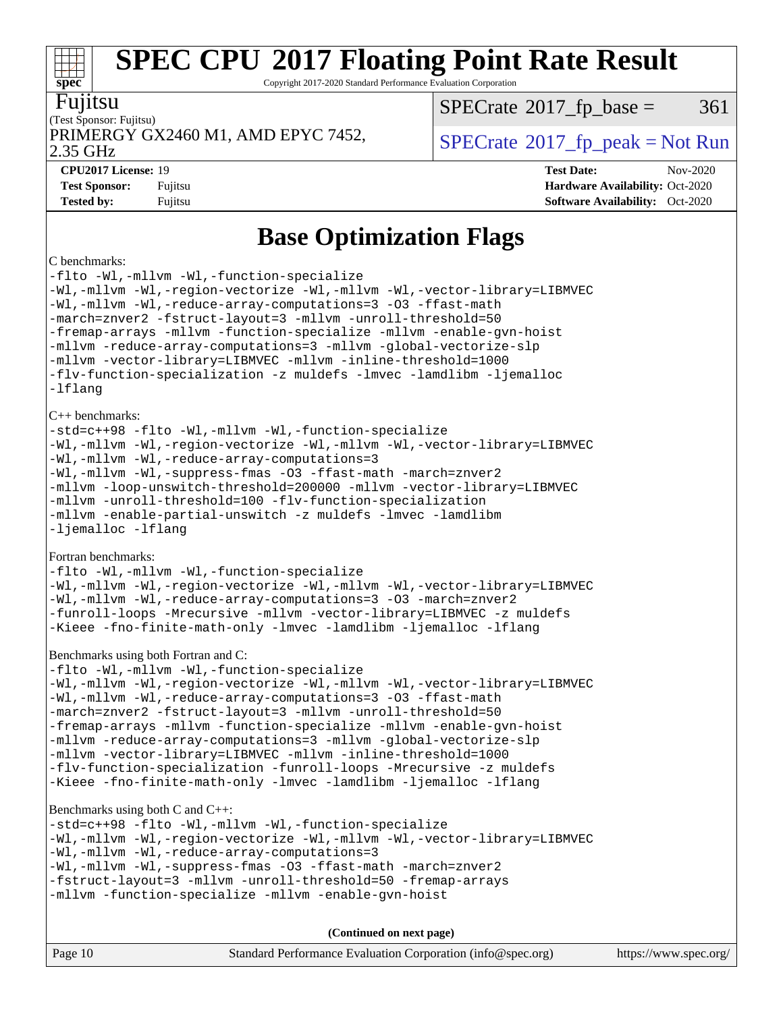Copyright 2017-2020 Standard Performance Evaluation Corporation

### Fujitsu

**[spec](http://www.spec.org/)**

(Test Sponsor: Fujitsu) PRIMERGY GX2460 M1, AMD EPYC 7452,  $\vert$  [SPECrate](http://www.spec.org/auto/cpu2017/Docs/result-fields.html#SPECrate2017fppeak) 2017 fp peak = Not Run

 $SPECTate@2017_fp\_base = 361$ 

2.35 GHz

**[CPU2017 License:](http://www.spec.org/auto/cpu2017/Docs/result-fields.html#CPU2017License)** 19 **[Test Date:](http://www.spec.org/auto/cpu2017/Docs/result-fields.html#TestDate)** Nov-2020 **[Test Sponsor:](http://www.spec.org/auto/cpu2017/Docs/result-fields.html#TestSponsor)** Fujitsu **[Hardware Availability:](http://www.spec.org/auto/cpu2017/Docs/result-fields.html#HardwareAvailability)** Oct-2020 **[Tested by:](http://www.spec.org/auto/cpu2017/Docs/result-fields.html#Testedby)** Fujitsu **[Software Availability:](http://www.spec.org/auto/cpu2017/Docs/result-fields.html#SoftwareAvailability)** Oct-2020

## **[Base Optimization Flags](http://www.spec.org/auto/cpu2017/Docs/result-fields.html#BaseOptimizationFlags)**

#### [C benchmarks:](http://www.spec.org/auto/cpu2017/Docs/result-fields.html#Cbenchmarks)

[-flto](http://www.spec.org/cpu2017/results/res2020q4/cpu2017-20201124-24498.flags.html#user_CCbase_aocc-flto) [-Wl,-mllvm -Wl,-function-specialize](http://www.spec.org/cpu2017/results/res2020q4/cpu2017-20201124-24498.flags.html#user_CCbase_F-function-specialize_7e7e661e57922243ee67c9a1251cb8910e607325179a0ce7f2884e09a6f5d4a5ef0ae4f37e8a2a11c95fc48e931f06dc2b6016f14b511fcb441e048bef1b065a) [-Wl,-mllvm -Wl,-region-vectorize](http://www.spec.org/cpu2017/results/res2020q4/cpu2017-20201124-24498.flags.html#user_CCbase_F-region-vectorize_fb6c6b5aa293c88efc6c7c2b52b20755e943585b1fe8658c35afef78727fff56e1a56891413c30e36b8e2a6f9a71126986319243e80eb6110b78b288f533c52b) [-Wl,-mllvm -Wl,-vector-library=LIBMVEC](http://www.spec.org/cpu2017/results/res2020q4/cpu2017-20201124-24498.flags.html#user_CCbase_F-use-vector-library_0a14b27fae317f283640384a31f7bfcc2bd4c1d0b5cfc618a3a430800c9b20217b00f61303eff223a3251b4f06ffbc9739dc5296db9d1fbb9ad24a3939d86d66) [-Wl,-mllvm -Wl,-reduce-array-computations=3](http://www.spec.org/cpu2017/results/res2020q4/cpu2017-20201124-24498.flags.html#user_CCbase_F-reduce-array-computations_b882aefe7a5dda4e33149f6299762b9a720dace3e498e13756f4c04e5a19edf5315c1f3993de2e61ec41e8c206231f84e05da7040e1bb5d69ba27d10a12507e4) [-O3](http://www.spec.org/cpu2017/results/res2020q4/cpu2017-20201124-24498.flags.html#user_CCbase_F-O3) [-ffast-math](http://www.spec.org/cpu2017/results/res2020q4/cpu2017-20201124-24498.flags.html#user_CCbase_aocc-ffast-math) [-march=znver2](http://www.spec.org/cpu2017/results/res2020q4/cpu2017-20201124-24498.flags.html#user_CCbase_aocc-march_3e2e19cff2eeef60c5d90b059483627c9ea47eca6d66670dbd53f9185f6439e27eb5e104cf773e9e8ab18c8842ce63e461a3e948d0214bd567ef3ade411bf467) [-fstruct-layout=3](http://www.spec.org/cpu2017/results/res2020q4/cpu2017-20201124-24498.flags.html#user_CCbase_F-struct-layout) [-mllvm -unroll-threshold=50](http://www.spec.org/cpu2017/results/res2020q4/cpu2017-20201124-24498.flags.html#user_CCbase_F-unroll-threshold_458874500b2c105d6d5cb4d7a611c40e2b16e9e3d26b355fea72d644c3673b4de4b3932662f0ed3dbec75c491a13da2d2ca81180bd779dc531083ef1e1e549dc) [-fremap-arrays](http://www.spec.org/cpu2017/results/res2020q4/cpu2017-20201124-24498.flags.html#user_CCbase_F-fremap-arrays) [-mllvm -function-specialize](http://www.spec.org/cpu2017/results/res2020q4/cpu2017-20201124-24498.flags.html#user_CCbase_F-function-specialize_233b3bdba86027f1b094368157e481c5bc59f40286dc25bfadc1858dcd5745c24fd30d5f188710db7fea399bcc9f44a80b3ce3aacc70a8870250c3ae5e1f35b8) [-mllvm -enable-gvn-hoist](http://www.spec.org/cpu2017/results/res2020q4/cpu2017-20201124-24498.flags.html#user_CCbase_F-enable-gvn-hoist_e5856354646dd6ca1333a0ad99b817e4cf8932b91b82809fd8fd47ceff7b22a89eba5c98fd3e3fa5200368fd772cec3dd56abc3c8f7b655a71b9f9848dddedd5) [-mllvm -reduce-array-computations=3](http://www.spec.org/cpu2017/results/res2020q4/cpu2017-20201124-24498.flags.html#user_CCbase_F-reduce-array-computations_aceadb8604558b566e0e3a0d7a3c1533923dd1fa0889614e16288028922629a28d5695c24d3b3be4306b1e311c54317dfffe3a2e57fbcaabc737a1798de39145) [-mllvm -global-vectorize-slp](http://www.spec.org/cpu2017/results/res2020q4/cpu2017-20201124-24498.flags.html#user_CCbase_F-global-vectorize-slp_a3935e8627af4ced727033b1ffd4db27f4d541a363d28d82bf4c2925fb3a0fd4115d6e42d13a2829f9e024d6608eb67a85cb49770f2da5c5ac8dbc737afad603) [-mllvm -vector-library=LIBMVEC](http://www.spec.org/cpu2017/results/res2020q4/cpu2017-20201124-24498.flags.html#user_CCbase_F-use-vector-library_e584e20b4f7ec96aa109254b65d8e01d864f3d68580371b9d93ed7c338191d4cfce20c3c864632264effc6bbe4c7c38153d02096a342ee92501c4a53204a7871) [-mllvm -inline-threshold=1000](http://www.spec.org/cpu2017/results/res2020q4/cpu2017-20201124-24498.flags.html#user_CCbase_dragonegg-llvm-inline-threshold_b7832241b0a6397e4ecdbaf0eb7defdc10f885c2a282fa3240fdc99844d543fda39cf8a4a9dccf68cf19b5438ac3b455264f478df15da0f4988afa40d8243bab) [-flv-function-specialization](http://www.spec.org/cpu2017/results/res2020q4/cpu2017-20201124-24498.flags.html#user_CCbase_F-flv-function-specialization) [-z muldefs](http://www.spec.org/cpu2017/results/res2020q4/cpu2017-20201124-24498.flags.html#user_CCbase_aocc-muldefs) [-lmvec](http://www.spec.org/cpu2017/results/res2020q4/cpu2017-20201124-24498.flags.html#user_CCbase_F-lmvec) [-lamdlibm](http://www.spec.org/cpu2017/results/res2020q4/cpu2017-20201124-24498.flags.html#user_CCbase_F-lamdlibm) [-ljemalloc](http://www.spec.org/cpu2017/results/res2020q4/cpu2017-20201124-24498.flags.html#user_CCbase_jemalloc-lib) [-lflang](http://www.spec.org/cpu2017/results/res2020q4/cpu2017-20201124-24498.flags.html#user_CCbase_F-lflang) [C++ benchmarks](http://www.spec.org/auto/cpu2017/Docs/result-fields.html#CXXbenchmarks): [-std=c++98](http://www.spec.org/cpu2017/results/res2020q4/cpu2017-20201124-24498.flags.html#user_CXXbase_std-cpp) [-flto](http://www.spec.org/cpu2017/results/res2020q4/cpu2017-20201124-24498.flags.html#user_CXXbase_aocc-flto) [-Wl,-mllvm -Wl,-function-specialize](http://www.spec.org/cpu2017/results/res2020q4/cpu2017-20201124-24498.flags.html#user_CXXbase_F-function-specialize_7e7e661e57922243ee67c9a1251cb8910e607325179a0ce7f2884e09a6f5d4a5ef0ae4f37e8a2a11c95fc48e931f06dc2b6016f14b511fcb441e048bef1b065a) [-Wl,-mllvm -Wl,-region-vectorize](http://www.spec.org/cpu2017/results/res2020q4/cpu2017-20201124-24498.flags.html#user_CXXbase_F-region-vectorize_fb6c6b5aa293c88efc6c7c2b52b20755e943585b1fe8658c35afef78727fff56e1a56891413c30e36b8e2a6f9a71126986319243e80eb6110b78b288f533c52b) [-Wl,-mllvm -Wl,-vector-library=LIBMVEC](http://www.spec.org/cpu2017/results/res2020q4/cpu2017-20201124-24498.flags.html#user_CXXbase_F-use-vector-library_0a14b27fae317f283640384a31f7bfcc2bd4c1d0b5cfc618a3a430800c9b20217b00f61303eff223a3251b4f06ffbc9739dc5296db9d1fbb9ad24a3939d86d66) [-Wl,-mllvm -Wl,-reduce-array-computations=3](http://www.spec.org/cpu2017/results/res2020q4/cpu2017-20201124-24498.flags.html#user_CXXbase_F-reduce-array-computations_b882aefe7a5dda4e33149f6299762b9a720dace3e498e13756f4c04e5a19edf5315c1f3993de2e61ec41e8c206231f84e05da7040e1bb5d69ba27d10a12507e4) [-Wl,-mllvm -Wl,-suppress-fmas](http://www.spec.org/cpu2017/results/res2020q4/cpu2017-20201124-24498.flags.html#user_CXXbase_F-suppress-fmas_f00f00630e4a059e8af9c161e9bbf420bcf19890a7f99d5933525e66aa4b0bb3ab2339d2b12d97d3a5f5d271e839fe9c109938e91fe06230fb53651590cfa1e8) [-O3](http://www.spec.org/cpu2017/results/res2020q4/cpu2017-20201124-24498.flags.html#user_CXXbase_F-O3) [-ffast-math](http://www.spec.org/cpu2017/results/res2020q4/cpu2017-20201124-24498.flags.html#user_CXXbase_aocc-ffast-math) [-march=znver2](http://www.spec.org/cpu2017/results/res2020q4/cpu2017-20201124-24498.flags.html#user_CXXbase_aocc-march_3e2e19cff2eeef60c5d90b059483627c9ea47eca6d66670dbd53f9185f6439e27eb5e104cf773e9e8ab18c8842ce63e461a3e948d0214bd567ef3ade411bf467) [-mllvm -loop-unswitch-threshold=200000](http://www.spec.org/cpu2017/results/res2020q4/cpu2017-20201124-24498.flags.html#user_CXXbase_F-loop-unswitch-threshold_f9a82ae3270e55b5fbf79d0d96ee93606b73edbbe527d20b18b7bff1a3a146ad50cfc7454c5297978340ae9213029016a7d16221274d672d3f7f42ed25274e1d) [-mllvm -vector-library=LIBMVEC](http://www.spec.org/cpu2017/results/res2020q4/cpu2017-20201124-24498.flags.html#user_CXXbase_F-use-vector-library_e584e20b4f7ec96aa109254b65d8e01d864f3d68580371b9d93ed7c338191d4cfce20c3c864632264effc6bbe4c7c38153d02096a342ee92501c4a53204a7871) [-mllvm -unroll-threshold=100](http://www.spec.org/cpu2017/results/res2020q4/cpu2017-20201124-24498.flags.html#user_CXXbase_F-unroll-threshold_2755d0c78138845d361fa1543e3a063fffa198df9b3edf0cfb856bbc88a81e1769b12ac7a550c5d35197be55360db1a3f95a8d1304df999456cabf5120c45168) [-flv-function-specialization](http://www.spec.org/cpu2017/results/res2020q4/cpu2017-20201124-24498.flags.html#user_CXXbase_F-flv-function-specialization) [-mllvm -enable-partial-unswitch](http://www.spec.org/cpu2017/results/res2020q4/cpu2017-20201124-24498.flags.html#user_CXXbase_F-enable-partial-unswitch_6e1c33f981d77963b1eaf834973128a7f33ce3f8e27f54689656697a35e89dcc875281e0e6283d043e32f367dcb605ba0e307a92e830f7e326789fa6c61b35d3) [-z muldefs](http://www.spec.org/cpu2017/results/res2020q4/cpu2017-20201124-24498.flags.html#user_CXXbase_aocc-muldefs) [-lmvec](http://www.spec.org/cpu2017/results/res2020q4/cpu2017-20201124-24498.flags.html#user_CXXbase_F-lmvec) [-lamdlibm](http://www.spec.org/cpu2017/results/res2020q4/cpu2017-20201124-24498.flags.html#user_CXXbase_F-lamdlibm) [-ljemalloc](http://www.spec.org/cpu2017/results/res2020q4/cpu2017-20201124-24498.flags.html#user_CXXbase_jemalloc-lib) [-lflang](http://www.spec.org/cpu2017/results/res2020q4/cpu2017-20201124-24498.flags.html#user_CXXbase_F-lflang)

#### [Fortran benchmarks:](http://www.spec.org/auto/cpu2017/Docs/result-fields.html#Fortranbenchmarks)

[-flto](http://www.spec.org/cpu2017/results/res2020q4/cpu2017-20201124-24498.flags.html#user_FCbase_aocc-flto) [-Wl,-mllvm -Wl,-function-specialize](http://www.spec.org/cpu2017/results/res2020q4/cpu2017-20201124-24498.flags.html#user_FCbase_F-function-specialize_7e7e661e57922243ee67c9a1251cb8910e607325179a0ce7f2884e09a6f5d4a5ef0ae4f37e8a2a11c95fc48e931f06dc2b6016f14b511fcb441e048bef1b065a) [-Wl,-mllvm -Wl,-region-vectorize](http://www.spec.org/cpu2017/results/res2020q4/cpu2017-20201124-24498.flags.html#user_FCbase_F-region-vectorize_fb6c6b5aa293c88efc6c7c2b52b20755e943585b1fe8658c35afef78727fff56e1a56891413c30e36b8e2a6f9a71126986319243e80eb6110b78b288f533c52b) [-Wl,-mllvm -Wl,-vector-library=LIBMVEC](http://www.spec.org/cpu2017/results/res2020q4/cpu2017-20201124-24498.flags.html#user_FCbase_F-use-vector-library_0a14b27fae317f283640384a31f7bfcc2bd4c1d0b5cfc618a3a430800c9b20217b00f61303eff223a3251b4f06ffbc9739dc5296db9d1fbb9ad24a3939d86d66) [-Wl,-mllvm -Wl,-reduce-array-computations=3](http://www.spec.org/cpu2017/results/res2020q4/cpu2017-20201124-24498.flags.html#user_FCbase_F-reduce-array-computations_b882aefe7a5dda4e33149f6299762b9a720dace3e498e13756f4c04e5a19edf5315c1f3993de2e61ec41e8c206231f84e05da7040e1bb5d69ba27d10a12507e4) [-O3](http://www.spec.org/cpu2017/results/res2020q4/cpu2017-20201124-24498.flags.html#user_FCbase_F-O3) [-march=znver2](http://www.spec.org/cpu2017/results/res2020q4/cpu2017-20201124-24498.flags.html#user_FCbase_aocc-march_3e2e19cff2eeef60c5d90b059483627c9ea47eca6d66670dbd53f9185f6439e27eb5e104cf773e9e8ab18c8842ce63e461a3e948d0214bd567ef3ade411bf467) [-funroll-loops](http://www.spec.org/cpu2017/results/res2020q4/cpu2017-20201124-24498.flags.html#user_FCbase_aocc-unroll-loops) [-Mrecursive](http://www.spec.org/cpu2017/results/res2020q4/cpu2017-20201124-24498.flags.html#user_FCbase_F-mrecursive_20a145d63f12d5750a899e17d4450b5b8b40330a9bb4af13688ca650e6fb30857bbbe44fb35cdbb895df6e5b2769de0a0d7659f51ff17acfbef6febafec4023f) [-mllvm -vector-library=LIBMVEC](http://www.spec.org/cpu2017/results/res2020q4/cpu2017-20201124-24498.flags.html#user_FCbase_F-use-vector-library_e584e20b4f7ec96aa109254b65d8e01d864f3d68580371b9d93ed7c338191d4cfce20c3c864632264effc6bbe4c7c38153d02096a342ee92501c4a53204a7871) [-z muldefs](http://www.spec.org/cpu2017/results/res2020q4/cpu2017-20201124-24498.flags.html#user_FCbase_aocc-muldefs) [-Kieee](http://www.spec.org/cpu2017/results/res2020q4/cpu2017-20201124-24498.flags.html#user_FCbase_F-kieee) [-fno-finite-math-only](http://www.spec.org/cpu2017/results/res2020q4/cpu2017-20201124-24498.flags.html#user_FCbase_aocc-fno-finite-math-only) [-lmvec](http://www.spec.org/cpu2017/results/res2020q4/cpu2017-20201124-24498.flags.html#user_FCbase_F-lmvec) [-lamdlibm](http://www.spec.org/cpu2017/results/res2020q4/cpu2017-20201124-24498.flags.html#user_FCbase_F-lamdlibm) [-ljemalloc](http://www.spec.org/cpu2017/results/res2020q4/cpu2017-20201124-24498.flags.html#user_FCbase_jemalloc-lib) [-lflang](http://www.spec.org/cpu2017/results/res2020q4/cpu2017-20201124-24498.flags.html#user_FCbase_F-lflang)

#### [Benchmarks using both Fortran and C:](http://www.spec.org/auto/cpu2017/Docs/result-fields.html#BenchmarksusingbothFortranandC)

[-flto](http://www.spec.org/cpu2017/results/res2020q4/cpu2017-20201124-24498.flags.html#user_CC_FCbase_aocc-flto) [-Wl,-mllvm -Wl,-function-specialize](http://www.spec.org/cpu2017/results/res2020q4/cpu2017-20201124-24498.flags.html#user_CC_FCbase_F-function-specialize_7e7e661e57922243ee67c9a1251cb8910e607325179a0ce7f2884e09a6f5d4a5ef0ae4f37e8a2a11c95fc48e931f06dc2b6016f14b511fcb441e048bef1b065a) [-Wl,-mllvm -Wl,-region-vectorize](http://www.spec.org/cpu2017/results/res2020q4/cpu2017-20201124-24498.flags.html#user_CC_FCbase_F-region-vectorize_fb6c6b5aa293c88efc6c7c2b52b20755e943585b1fe8658c35afef78727fff56e1a56891413c30e36b8e2a6f9a71126986319243e80eb6110b78b288f533c52b) [-Wl,-mllvm -Wl,-vector-library=LIBMVEC](http://www.spec.org/cpu2017/results/res2020q4/cpu2017-20201124-24498.flags.html#user_CC_FCbase_F-use-vector-library_0a14b27fae317f283640384a31f7bfcc2bd4c1d0b5cfc618a3a430800c9b20217b00f61303eff223a3251b4f06ffbc9739dc5296db9d1fbb9ad24a3939d86d66) [-Wl,-mllvm -Wl,-reduce-array-computations=3](http://www.spec.org/cpu2017/results/res2020q4/cpu2017-20201124-24498.flags.html#user_CC_FCbase_F-reduce-array-computations_b882aefe7a5dda4e33149f6299762b9a720dace3e498e13756f4c04e5a19edf5315c1f3993de2e61ec41e8c206231f84e05da7040e1bb5d69ba27d10a12507e4) [-O3](http://www.spec.org/cpu2017/results/res2020q4/cpu2017-20201124-24498.flags.html#user_CC_FCbase_F-O3) [-ffast-math](http://www.spec.org/cpu2017/results/res2020q4/cpu2017-20201124-24498.flags.html#user_CC_FCbase_aocc-ffast-math) [-march=znver2](http://www.spec.org/cpu2017/results/res2020q4/cpu2017-20201124-24498.flags.html#user_CC_FCbase_aocc-march_3e2e19cff2eeef60c5d90b059483627c9ea47eca6d66670dbd53f9185f6439e27eb5e104cf773e9e8ab18c8842ce63e461a3e948d0214bd567ef3ade411bf467) [-fstruct-layout=3](http://www.spec.org/cpu2017/results/res2020q4/cpu2017-20201124-24498.flags.html#user_CC_FCbase_F-struct-layout) [-mllvm -unroll-threshold=50](http://www.spec.org/cpu2017/results/res2020q4/cpu2017-20201124-24498.flags.html#user_CC_FCbase_F-unroll-threshold_458874500b2c105d6d5cb4d7a611c40e2b16e9e3d26b355fea72d644c3673b4de4b3932662f0ed3dbec75c491a13da2d2ca81180bd779dc531083ef1e1e549dc) [-fremap-arrays](http://www.spec.org/cpu2017/results/res2020q4/cpu2017-20201124-24498.flags.html#user_CC_FCbase_F-fremap-arrays) [-mllvm -function-specialize](http://www.spec.org/cpu2017/results/res2020q4/cpu2017-20201124-24498.flags.html#user_CC_FCbase_F-function-specialize_233b3bdba86027f1b094368157e481c5bc59f40286dc25bfadc1858dcd5745c24fd30d5f188710db7fea399bcc9f44a80b3ce3aacc70a8870250c3ae5e1f35b8) [-mllvm -enable-gvn-hoist](http://www.spec.org/cpu2017/results/res2020q4/cpu2017-20201124-24498.flags.html#user_CC_FCbase_F-enable-gvn-hoist_e5856354646dd6ca1333a0ad99b817e4cf8932b91b82809fd8fd47ceff7b22a89eba5c98fd3e3fa5200368fd772cec3dd56abc3c8f7b655a71b9f9848dddedd5) [-mllvm -reduce-array-computations=3](http://www.spec.org/cpu2017/results/res2020q4/cpu2017-20201124-24498.flags.html#user_CC_FCbase_F-reduce-array-computations_aceadb8604558b566e0e3a0d7a3c1533923dd1fa0889614e16288028922629a28d5695c24d3b3be4306b1e311c54317dfffe3a2e57fbcaabc737a1798de39145) [-mllvm -global-vectorize-slp](http://www.spec.org/cpu2017/results/res2020q4/cpu2017-20201124-24498.flags.html#user_CC_FCbase_F-global-vectorize-slp_a3935e8627af4ced727033b1ffd4db27f4d541a363d28d82bf4c2925fb3a0fd4115d6e42d13a2829f9e024d6608eb67a85cb49770f2da5c5ac8dbc737afad603) [-mllvm -vector-library=LIBMVEC](http://www.spec.org/cpu2017/results/res2020q4/cpu2017-20201124-24498.flags.html#user_CC_FCbase_F-use-vector-library_e584e20b4f7ec96aa109254b65d8e01d864f3d68580371b9d93ed7c338191d4cfce20c3c864632264effc6bbe4c7c38153d02096a342ee92501c4a53204a7871) [-mllvm -inline-threshold=1000](http://www.spec.org/cpu2017/results/res2020q4/cpu2017-20201124-24498.flags.html#user_CC_FCbase_dragonegg-llvm-inline-threshold_b7832241b0a6397e4ecdbaf0eb7defdc10f885c2a282fa3240fdc99844d543fda39cf8a4a9dccf68cf19b5438ac3b455264f478df15da0f4988afa40d8243bab) [-flv-function-specialization](http://www.spec.org/cpu2017/results/res2020q4/cpu2017-20201124-24498.flags.html#user_CC_FCbase_F-flv-function-specialization) [-funroll-loops](http://www.spec.org/cpu2017/results/res2020q4/cpu2017-20201124-24498.flags.html#user_CC_FCbase_aocc-unroll-loops) [-Mrecursive](http://www.spec.org/cpu2017/results/res2020q4/cpu2017-20201124-24498.flags.html#user_CC_FCbase_F-mrecursive_20a145d63f12d5750a899e17d4450b5b8b40330a9bb4af13688ca650e6fb30857bbbe44fb35cdbb895df6e5b2769de0a0d7659f51ff17acfbef6febafec4023f) [-z muldefs](http://www.spec.org/cpu2017/results/res2020q4/cpu2017-20201124-24498.flags.html#user_CC_FCbase_aocc-muldefs) [-Kieee](http://www.spec.org/cpu2017/results/res2020q4/cpu2017-20201124-24498.flags.html#user_CC_FCbase_F-kieee) [-fno-finite-math-only](http://www.spec.org/cpu2017/results/res2020q4/cpu2017-20201124-24498.flags.html#user_CC_FCbase_aocc-fno-finite-math-only) [-lmvec](http://www.spec.org/cpu2017/results/res2020q4/cpu2017-20201124-24498.flags.html#user_CC_FCbase_F-lmvec) [-lamdlibm](http://www.spec.org/cpu2017/results/res2020q4/cpu2017-20201124-24498.flags.html#user_CC_FCbase_F-lamdlibm) [-ljemalloc](http://www.spec.org/cpu2017/results/res2020q4/cpu2017-20201124-24498.flags.html#user_CC_FCbase_jemalloc-lib) [-lflang](http://www.spec.org/cpu2017/results/res2020q4/cpu2017-20201124-24498.flags.html#user_CC_FCbase_F-lflang)

#### [Benchmarks using both C and C++](http://www.spec.org/auto/cpu2017/Docs/result-fields.html#BenchmarksusingbothCandCXX):

[-std=c++98](http://www.spec.org/cpu2017/results/res2020q4/cpu2017-20201124-24498.flags.html#user_CC_CXXbase_std-cpp) [-flto](http://www.spec.org/cpu2017/results/res2020q4/cpu2017-20201124-24498.flags.html#user_CC_CXXbase_aocc-flto) [-Wl,-mllvm -Wl,-function-specialize](http://www.spec.org/cpu2017/results/res2020q4/cpu2017-20201124-24498.flags.html#user_CC_CXXbase_F-function-specialize_7e7e661e57922243ee67c9a1251cb8910e607325179a0ce7f2884e09a6f5d4a5ef0ae4f37e8a2a11c95fc48e931f06dc2b6016f14b511fcb441e048bef1b065a) [-Wl,-mllvm -Wl,-region-vectorize](http://www.spec.org/cpu2017/results/res2020q4/cpu2017-20201124-24498.flags.html#user_CC_CXXbase_F-region-vectorize_fb6c6b5aa293c88efc6c7c2b52b20755e943585b1fe8658c35afef78727fff56e1a56891413c30e36b8e2a6f9a71126986319243e80eb6110b78b288f533c52b) [-Wl,-mllvm -Wl,-vector-library=LIBMVEC](http://www.spec.org/cpu2017/results/res2020q4/cpu2017-20201124-24498.flags.html#user_CC_CXXbase_F-use-vector-library_0a14b27fae317f283640384a31f7bfcc2bd4c1d0b5cfc618a3a430800c9b20217b00f61303eff223a3251b4f06ffbc9739dc5296db9d1fbb9ad24a3939d86d66) [-Wl,-mllvm -Wl,-reduce-array-computations=3](http://www.spec.org/cpu2017/results/res2020q4/cpu2017-20201124-24498.flags.html#user_CC_CXXbase_F-reduce-array-computations_b882aefe7a5dda4e33149f6299762b9a720dace3e498e13756f4c04e5a19edf5315c1f3993de2e61ec41e8c206231f84e05da7040e1bb5d69ba27d10a12507e4) [-Wl,-mllvm -Wl,-suppress-fmas](http://www.spec.org/cpu2017/results/res2020q4/cpu2017-20201124-24498.flags.html#user_CC_CXXbase_F-suppress-fmas_f00f00630e4a059e8af9c161e9bbf420bcf19890a7f99d5933525e66aa4b0bb3ab2339d2b12d97d3a5f5d271e839fe9c109938e91fe06230fb53651590cfa1e8) [-O3](http://www.spec.org/cpu2017/results/res2020q4/cpu2017-20201124-24498.flags.html#user_CC_CXXbase_F-O3) [-ffast-math](http://www.spec.org/cpu2017/results/res2020q4/cpu2017-20201124-24498.flags.html#user_CC_CXXbase_aocc-ffast-math) [-march=znver2](http://www.spec.org/cpu2017/results/res2020q4/cpu2017-20201124-24498.flags.html#user_CC_CXXbase_aocc-march_3e2e19cff2eeef60c5d90b059483627c9ea47eca6d66670dbd53f9185f6439e27eb5e104cf773e9e8ab18c8842ce63e461a3e948d0214bd567ef3ade411bf467) [-fstruct-layout=3](http://www.spec.org/cpu2017/results/res2020q4/cpu2017-20201124-24498.flags.html#user_CC_CXXbase_F-struct-layout) [-mllvm -unroll-threshold=50](http://www.spec.org/cpu2017/results/res2020q4/cpu2017-20201124-24498.flags.html#user_CC_CXXbase_F-unroll-threshold_458874500b2c105d6d5cb4d7a611c40e2b16e9e3d26b355fea72d644c3673b4de4b3932662f0ed3dbec75c491a13da2d2ca81180bd779dc531083ef1e1e549dc) [-fremap-arrays](http://www.spec.org/cpu2017/results/res2020q4/cpu2017-20201124-24498.flags.html#user_CC_CXXbase_F-fremap-arrays) [-mllvm -function-specialize](http://www.spec.org/cpu2017/results/res2020q4/cpu2017-20201124-24498.flags.html#user_CC_CXXbase_F-function-specialize_233b3bdba86027f1b094368157e481c5bc59f40286dc25bfadc1858dcd5745c24fd30d5f188710db7fea399bcc9f44a80b3ce3aacc70a8870250c3ae5e1f35b8) [-mllvm -enable-gvn-hoist](http://www.spec.org/cpu2017/results/res2020q4/cpu2017-20201124-24498.flags.html#user_CC_CXXbase_F-enable-gvn-hoist_e5856354646dd6ca1333a0ad99b817e4cf8932b91b82809fd8fd47ceff7b22a89eba5c98fd3e3fa5200368fd772cec3dd56abc3c8f7b655a71b9f9848dddedd5)

**(Continued on next page)**

| Page 10 | Standard Performance Evaluation Corporation (info@spec.org) | https://www.spec.org/ |
|---------|-------------------------------------------------------------|-----------------------|